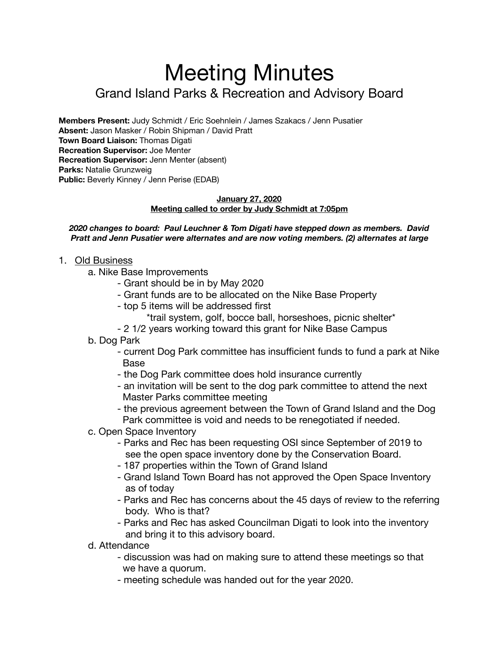# Meeting Minutes Grand Island Parks & Recreation and Advisory Board

**Members Present:** Judy Schmidt / Eric Soehnlein / James Szakacs / Jenn Pusatier **Absent:** Jason Masker / Robin Shipman / David Pratt **Town Board Liaison:** Thomas Digati **Recreation Supervisor:** Joe Menter **Recreation Supervisor:** Jenn Menter (absent) **Parks:** Natalie Grunzweig **Public:** Beverly Kinney / Jenn Perise (EDAB)

#### **January 27, 2020 Meeting called to order by Judy Schmidt at 7:05pm**

#### *2020 changes to board: Paul Leuchner & Tom Digati have stepped down as members. David Pratt and Jenn Pusatier were alternates and are now voting members. (2) alternates at large*

- 1. Old Business
	- a. Nike Base Improvements
		- Grant should be in by May 2020
		- Grant funds are to be allocated on the Nike Base Property
		- top 5 items will be addressed first
			- \*trail system, golf, bocce ball, horseshoes, picnic shelter\*
		- 2 1/2 years working toward this grant for Nike Base Campus
	- b. Dog Park
		- current Dog Park committee has insufficient funds to fund a park at Nike Base
		- the Dog Park committee does hold insurance currently
		- an invitation will be sent to the dog park committee to attend the next Master Parks committee meeting
		- the previous agreement between the Town of Grand Island and the Dog Park committee is void and needs to be renegotiated if needed.
	- c. Open Space Inventory
		- Parks and Rec has been requesting OSI since September of 2019 to see the open space inventory done by the Conservation Board.
		- 187 properties within the Town of Grand Island
		- Grand Island Town Board has not approved the Open Space Inventory as of today
		- Parks and Rec has concerns about the 45 days of review to the referring body. Who is that?
		- Parks and Rec has asked Councilman Digati to look into the inventory and bring it to this advisory board.
	- d. Attendance
		- discussion was had on making sure to attend these meetings so that we have a quorum.
		- meeting schedule was handed out for the year 2020.